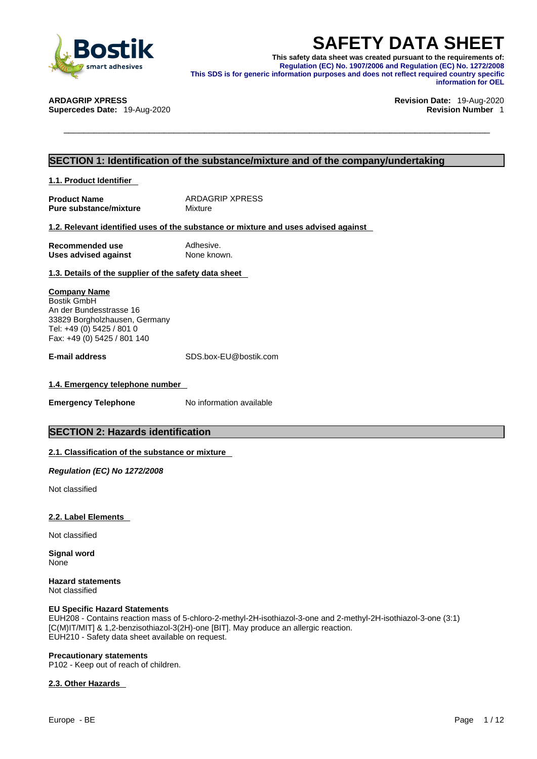

**SAFETY DATA SHEET**<br>
Smart adhesives<br>
smart adhesives<br>
smart adhesives<br>
Smart adhesives<br>
This SDS is for generic information purposes and does not reflect required country specific<br>
DAGRIP XPRESS<br>
DAGRIP XPRESS<br>
DAGRIP XPR **This safety data sheet was created pursuant to the requirements of: Regulation (EC) No. 1907/2006 and Regulation (EC) No. 1272/2008 This SDS is for generic information purposes and does not reflect required country specific information for OEL** 

**Supercedes Date:** 19-Aug-2020 **Revision Number** 1

# **ARDAGRIP XPRESS Revision Date:** 19-Aug-2020

# **SECTION 1: Identification of the substance/mixture and of the company/undertaking**

**1.1. Product Identifier** 

**Product Name** ARDAGRIP XPRESS<br> **Pure substance/mixture** Mixture Mixture **Pure substance/mixture** 

# **1.2. Relevant identified uses of the substance or mixture and uses advised against**

| Recommended use             | Adhesive.   |
|-----------------------------|-------------|
| <b>Uses advised against</b> | None known. |

# **1.3. Details of the supplier of the safety data sheet**

**Company Name** Bostik GmbH An der Bundesstrasse 16 33829 Borgholzhausen, Germany Tel: +49 (0) 5425 / 801 0

Fax: +49 (0) 5425 / 801 140

**E-mail address** SDS.box-EU@bostik.com

## **1.4. Emergency telephone number**

**Emergency Telephone** No information available

# **SECTION 2: Hazards identification**

# **2.1. Classification of the substance or mixture**

*Regulation (EC) No 1272/2008* 

Not classified

## **2.2. Label Elements**

Not classified

**Signal word** None

**Hazard statements** Not classified

### **EU Specific Hazard Statements**

EUH208 - Contains reaction mass of 5-chloro-2-methyl-2H-isothiazol-3-one and 2-methyl-2H-isothiazol-3-one (3:1) [C(M)IT/MIT] & 1,2-benzisothiazol-3(2H)-one [BIT]. May produce an allergic reaction. EUH210 - Safety data sheet available on request.

# **Precautionary statements**

P102 - Keep out of reach of children.

# **2.3. Other Hazards**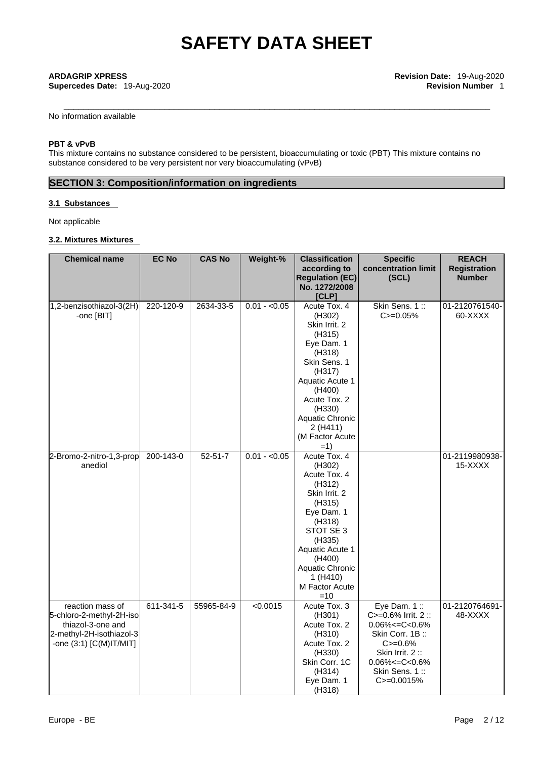**Supercedes Date: 19-Aug-2020** 

No information available

# **PBT & vPvB**

This mixture contains no substance considered to be persistent, bioaccumulating or toxic (PBT) This mixture contains no substance considered to be very persistent nor very bioaccumulating (vPvB)

# **SECTION 3: Composition/information on ingredients**

# **3.1 Substances**

Not applicable

# **3.2. Mixtures Mixtures**

| <b>Chemical name</b>                                                                                                       | <b>EC No</b>    | <b>CAS No</b> | Weight-%      | <b>Classification</b><br>according to                                                                                                                                                                           | <b>Specific</b><br>concentration limit                                                                                                                                   | <b>REACH</b><br><b>Registration</b> |
|----------------------------------------------------------------------------------------------------------------------------|-----------------|---------------|---------------|-----------------------------------------------------------------------------------------------------------------------------------------------------------------------------------------------------------------|--------------------------------------------------------------------------------------------------------------------------------------------------------------------------|-------------------------------------|
|                                                                                                                            |                 |               |               | <b>Regulation (EC)</b>                                                                                                                                                                                          | (SCL)                                                                                                                                                                    | <b>Number</b>                       |
|                                                                                                                            |                 |               |               | No. 1272/2008<br>[CLP]                                                                                                                                                                                          |                                                                                                                                                                          |                                     |
| 1,2-benzisothiazol-3(2H)<br>-one [BIT]                                                                                     | 220-120-9       | 2634-33-5     | $0.01 - 0.05$ | Acute Tox. 4<br>(H302)<br>Skin Irrit. 2<br>(H315)<br>Eye Dam. 1<br>(H318)<br>Skin Sens. 1<br>(H317)<br>Aquatic Acute 1<br>(H400)<br>Acute Tox. 2<br>(H330)<br>Aquatic Chronic                                   | Skin Sens. 1::<br>$C = 0.05%$                                                                                                                                            | 01-2120761540-<br>60-XXXX           |
|                                                                                                                            |                 |               |               | 2(H411)<br>(M Factor Acute<br>$=1)$                                                                                                                                                                             |                                                                                                                                                                          |                                     |
| 2-Bromo-2-nitro-1,3-prop<br>anediol                                                                                        | 200-143-0       | $52 - 51 - 7$ | $0.01 - 0.05$ | Acute Tox. 4<br>(H302)<br>Acute Tox. 4<br>(H312)<br>Skin Irrit. 2<br>(H315)<br>Eye Dam. 1<br>(H318)<br>STOT SE 3<br>(H335)<br>Aquatic Acute 1<br>(H400)<br>Aquatic Chronic<br>1 (H410)<br>M Factor Acute<br>=10 |                                                                                                                                                                          | 01-2119980938-<br>15-XXXX           |
| reaction mass of<br>5-chloro-2-methyl-2H-iso<br>thiazol-3-one and<br>2-methyl-2H-isothiazol-3<br>-one $(3:1)$ [C(M)IT/MIT] | $611 - 341 - 5$ | 55965-84-9    | < 0.0015      | Acute Tox. 3<br>(H301)<br>Acute Tox. 2<br>(H310)<br>Acute Tox. 2<br>(H330)<br>Skin Corr. 1C<br>(H314)<br>Eye Dam. 1<br>(H318)                                                                                   | Eye Dam. 1:<br>C>=0.6% Irrit. 2 ::<br>$0.06\% < = C < 0.6\%$<br>Skin Corr. 1B:<br>$C = 0.6%$<br>Skin Irrit. 2:<br>$0.06\% < = C < 0.6\%$<br>Skin Sens. 1::<br>C>=0.0015% | 01-2120764691-<br>48-XXXX           |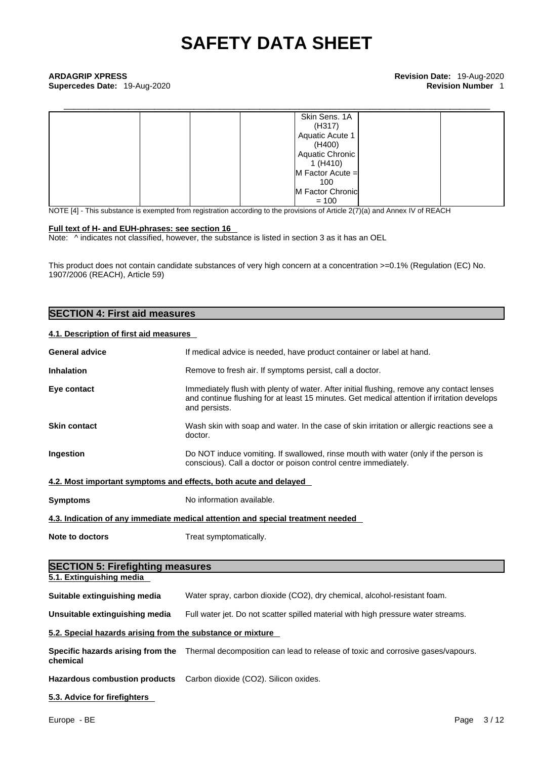\_\_\_\_\_\_\_\_\_\_\_\_\_\_\_\_\_\_\_\_\_\_\_\_\_\_\_\_\_\_\_\_\_\_\_\_\_\_\_\_\_\_\_\_\_\_\_\_\_\_\_\_\_\_\_\_\_\_\_\_\_\_\_\_\_\_\_\_\_\_\_\_\_\_\_\_\_\_\_\_\_\_\_\_\_ **ARDAGRIP XPRESS Revision Date:** 19-Aug-2020 **Supercedes Date:** 19-Aug-2020 **Revision Number** 1

| Skin Sens. 1A<br>(H317)<br>Aquatic Acute 1 |  |
|--------------------------------------------|--|
|                                            |  |
| (H400)                                     |  |
| Aquatic Chronic                            |  |
| 1 (H410)                                   |  |
| $M$ Factor Acute $=$                       |  |
| 100                                        |  |
| M Factor Chronic                           |  |
| $= 100$                                    |  |

NOTE [4] - This substance is exempted from registration according to the provisions of Article 2(7)(a) and Annex IV of REACH

## **Full text of H- and EUH-phrases: see section 16**

Note:  $\wedge$  indicates not classified, however, the substance is listed in section 3 as it has an OEL

This product does not contain candidate substances of very high concern at a concentration >=0.1% (Regulation (EC) No. 1907/2006 (REACH), Article 59)

# **SECTION 4: First aid measures**

# **4.1. Description of first aid measures**

| <b>General advice</b>                                            | If medical advice is needed, have product container or label at hand.                                                                                                                                     |  |  |  |
|------------------------------------------------------------------|-----------------------------------------------------------------------------------------------------------------------------------------------------------------------------------------------------------|--|--|--|
| <b>Inhalation</b>                                                | Remove to fresh air. If symptoms persist, call a doctor.                                                                                                                                                  |  |  |  |
| Eye contact                                                      | Immediately flush with plenty of water. After initial flushing, remove any contact lenses<br>and continue flushing for at least 15 minutes. Get medical attention if irritation develops<br>and persists. |  |  |  |
| <b>Skin contact</b>                                              | Wash skin with soap and water. In the case of skin irritation or allergic reactions see a<br>doctor.                                                                                                      |  |  |  |
| Ingestion                                                        | Do NOT induce vomiting. If swallowed, rinse mouth with water (only if the person is<br>conscious). Call a doctor or poison control centre immediately.                                                    |  |  |  |
| 4.2. Most important symptoms and effects, both acute and delayed |                                                                                                                                                                                                           |  |  |  |
| <b>Symptoms</b>                                                  | No information available.                                                                                                                                                                                 |  |  |  |
|                                                                  | 4.3. Indication of any immediate medical attention and special treatment needed                                                                                                                           |  |  |  |
| Note to doctors<br>Treat symptomatically.                        |                                                                                                                                                                                                           |  |  |  |
| <b>SECTION 5: Firefighting measures</b>                          |                                                                                                                                                                                                           |  |  |  |
| 5.1. Extinguishing media                                         |                                                                                                                                                                                                           |  |  |  |
| Suitable extinguishing media                                     | Water spray, carbon dioxide (CO2), dry chemical, alcohol-resistant foam.                                                                                                                                  |  |  |  |
| Unsuitable extinguishing media                                   | Full water jet. Do not scatter spilled material with high pressure water streams.                                                                                                                         |  |  |  |
| 5.2. Special hazards arising from the substance or mixture       |                                                                                                                                                                                                           |  |  |  |
| chemical                                                         | Specific hazards arising from the Thermal decomposition can lead to release of toxic and corrosive gases/vapours.                                                                                         |  |  |  |
|                                                                  |                                                                                                                                                                                                           |  |  |  |

**Hazardous combustion products** Carbon dioxide (CO2). Silicon oxides.

# **5.3. Advice for firefighters**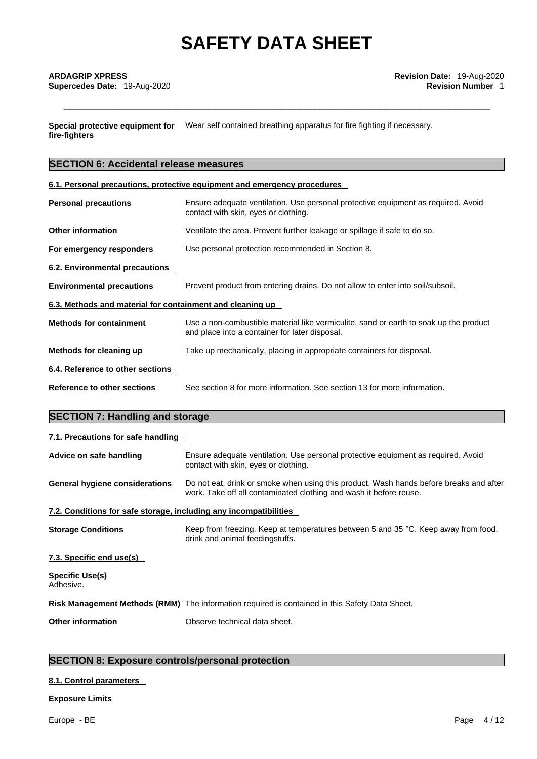**Special protective equipment for** Wear self contained breathing apparatus for fire fighting if necessary. **fire-fighters**

# **SECTION 6: Accidental release measures**

**6.1. Personal precautions, protective equipment and emergency procedures**

| <b>Personal precautions</b>                                                                                        | Ensure adequate ventilation. Use personal protective equipment as required. Avoid<br>contact with skin, eyes or clothing.               |  |  |  |
|--------------------------------------------------------------------------------------------------------------------|-----------------------------------------------------------------------------------------------------------------------------------------|--|--|--|
| <b>Other information</b>                                                                                           | Ventilate the area. Prevent further leakage or spillage if safe to do so.                                                               |  |  |  |
| For emergency responders                                                                                           | Use personal protection recommended in Section 8.                                                                                       |  |  |  |
| 6.2. Environmental precautions                                                                                     |                                                                                                                                         |  |  |  |
| <b>Environmental precautions</b><br>Prevent product from entering drains. Do not allow to enter into soil/subsoil. |                                                                                                                                         |  |  |  |
| 6.3. Methods and material for containment and cleaning up                                                          |                                                                                                                                         |  |  |  |
| <b>Methods for containment</b>                                                                                     | Use a non-combustible material like vermiculite, sand or earth to soak up the product<br>and place into a container for later disposal. |  |  |  |
| Methods for cleaning up                                                                                            | Take up mechanically, placing in appropriate containers for disposal.                                                                   |  |  |  |
| 6.4. Reference to other sections                                                                                   |                                                                                                                                         |  |  |  |
| Reference to other sections                                                                                        | See section 8 for more information. See section 13 for more information.                                                                |  |  |  |
|                                                                                                                    |                                                                                                                                         |  |  |  |

# **SECTION 7: Handling and storage**

| 7.1. Precautions for safe handling                                |                                                                                                                                                              |  |  |  |  |
|-------------------------------------------------------------------|--------------------------------------------------------------------------------------------------------------------------------------------------------------|--|--|--|--|
| Advice on safe handling                                           | Ensure adequate ventilation. Use personal protective equipment as required. Avoid<br>contact with skin, eyes or clothing.                                    |  |  |  |  |
| General hygiene considerations                                    | Do not eat, drink or smoke when using this product. Wash hands before breaks and after<br>work. Take off all contaminated clothing and wash it before reuse. |  |  |  |  |
| 7.2. Conditions for safe storage, including any incompatibilities |                                                                                                                                                              |  |  |  |  |
| <b>Storage Conditions</b>                                         | Keep from freezing. Keep at temperatures between 5 and 35 °C. Keep away from food,<br>drink and animal feedingstuffs.                                        |  |  |  |  |
| 7.3. Specific end use(s)                                          |                                                                                                                                                              |  |  |  |  |
| Specific Use(s)<br>Adhesive.                                      |                                                                                                                                                              |  |  |  |  |
|                                                                   | Risk Management Methods (RMM) The information required is contained in this Safety Data Sheet.                                                               |  |  |  |  |
| <b>Other information</b>                                          | Observe technical data sheet.                                                                                                                                |  |  |  |  |
|                                                                   |                                                                                                                                                              |  |  |  |  |

# **SECTION 8: Exposure controls/personal protection**

# **8.1. Control parameters**

# **Exposure Limits**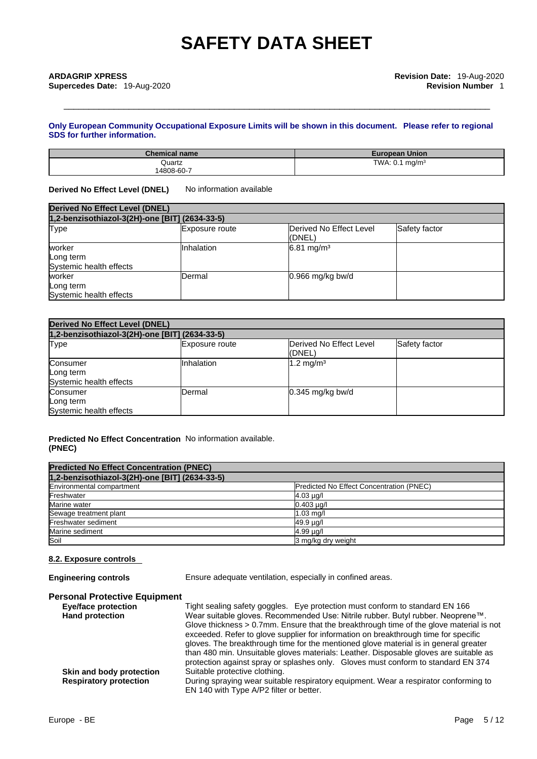# **Only European Community Occupational Exposure Limits will be shown in this document. Please refer to regional SDS for further information.**

| <b>Chemical name</b> | <b>European Union</b>         |
|----------------------|-------------------------------|
| Quartz               | TWA: 0.1<br>ma/m <sup>3</sup> |
| 14808-60-7           |                               |

**Derived No Effect Level (DNEL)** No information available

| <b>Derived No Effect Level (DNEL)</b>          |                       |                                    |               |  |
|------------------------------------------------|-----------------------|------------------------------------|---------------|--|
| 1,2-benzisothiazol-3(2H)-one [BIT] (2634-33-5) |                       |                                    |               |  |
| <b>Type</b>                                    | <b>Exposure route</b> | Derived No Effect Level<br>l(DNEL) | Safety factor |  |
| worker<br>Long term<br>Systemic health effects | Inhalation            | $6.81 \text{ mg/m}^3$              |               |  |
| worker<br>Long term<br>Systemic health effects | <b>IDermal</b>        | $0.966$ mg/kg bw/d                 |               |  |

| <b>Derived No Effect Level (DNEL)</b><br>1,2-benzisothiazol-3(2H)-one [BIT] (2634-33-5) |                   |                      |  |  |
|-----------------------------------------------------------------------------------------|-------------------|----------------------|--|--|
|                                                                                         |                   |                      |  |  |
| Consumer<br>Long term<br>Systemic health effects                                        | <b>Inhalation</b> | $1.2 \text{ mg/m}^3$ |  |  |
| Consumer<br>Long term<br>Systemic health effects                                        | <b>IDermal</b>    | $0.345$ mg/kg bw/d   |  |  |

# **Predicted No Effect Concentration** No information available. **(PNEC)**

| <b>Predicted No Effect Concentration (PNEC)</b> |                                          |
|-------------------------------------------------|------------------------------------------|
| 1,2-benzisothiazol-3(2H)-one [BIT] (2634-33-5)  |                                          |
| Environmental compartment                       | Predicted No Effect Concentration (PNEC) |
| Freshwater                                      | $4.03 \mu g/l$                           |
| Marine water                                    | $0.403 \mu q/l$                          |
| Sewage treatment plant                          | $1.03$ mg/l                              |
| Freshwater sediment                             | 49.9 µg/l                                |
| Marine sediment                                 | 4.99 µg/l                                |
| Soil                                            | 3 mg/kg dry weight                       |

# **8.2. Exposure controls**

**Engineering controls** Ensure adequate ventilation, especially in confined areas.

# **Personal Protective Equipment**

| <b>Eye/face protection</b>    | Tight sealing safety goggles. Eye protection must conform to standard EN 166            |
|-------------------------------|-----------------------------------------------------------------------------------------|
| <b>Hand protection</b>        | Wear suitable gloves. Recommended Use: Nitrile rubber. Butyl rubber. Neoprene™.         |
|                               | Glove thickness > 0.7mm. Ensure that the breakthrough time of the glove material is not |
|                               | exceeded. Refer to glove supplier for information on breakthrough time for specific     |
|                               | gloves. The breakthrough time for the mentioned glove material is in general greater    |
|                               | than 480 min. Unsuitable gloves materials: Leather. Disposable gloves are suitable as   |
|                               | protection against spray or splashes only. Gloves must conform to standard EN 374       |
| Skin and body protection      | Suitable protective clothing.                                                           |
| <b>Respiratory protection</b> | During spraying wear suitable respiratory equipment. Wear a respirator conforming to    |
|                               | EN 140 with Type A/P2 filter or better.                                                 |
|                               |                                                                                         |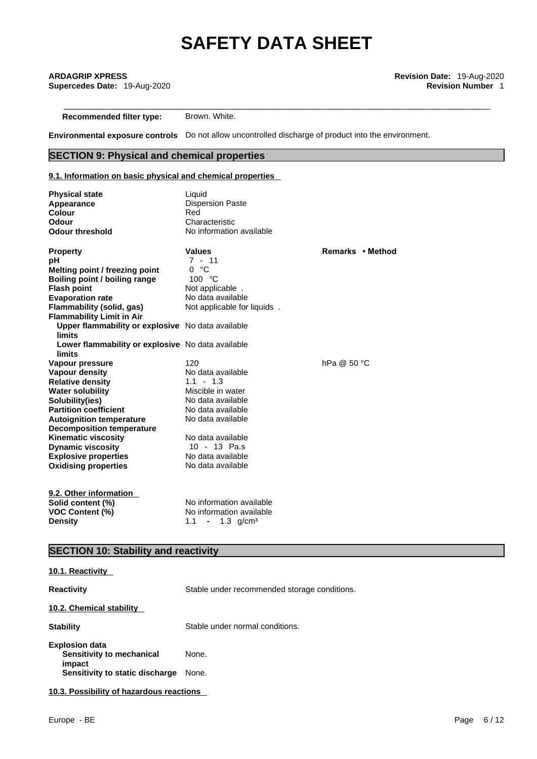**Recommended filter type:** Brown. White.

**Environmental exposure controls** Do not allow uncontrolled discharge of product into the environment.

# **SECTION 9: Physical and chemical properties**

# **9.1. Information on basic physical and chemical properties**

| <b>Physical state</b>                                         | Liquid                      |                  |
|---------------------------------------------------------------|-----------------------------|------------------|
| Appearance                                                    | <b>Dispersion Paste</b>     |                  |
| <b>Colour</b>                                                 | Red                         |                  |
| Odour                                                         | Characteristic              |                  |
| <b>Odour threshold</b>                                        | No information available    |                  |
| <b>Property</b>                                               | <b>Values</b>               | Remarks • Method |
| рH                                                            | $7 - 11$                    |                  |
| Melting point / freezing point                                | 0 °C                        |                  |
| Boiling point / boiling range                                 | 100 $\degree$ C             |                  |
| <b>Flash point</b>                                            | Not applicable.             |                  |
| <b>Evaporation rate</b>                                       | No data available           |                  |
| Flammability (solid, gas)<br><b>Flammability Limit in Air</b> | Not applicable for liquids. |                  |
| Upper flammability or explosive No data available<br>limits   |                             |                  |
| Lower flammability or explosive No data available             |                             |                  |
| limits                                                        |                             |                  |
| Vapour pressure                                               | 120                         | hPa @ $50 °C$    |
| Vapour density                                                | No data available           |                  |
| <b>Relative density</b>                                       | $1.1 - 1.3$                 |                  |
| <b>Water solubility</b>                                       | Miscible in water           |                  |
| Solubility(ies)                                               | No data available           |                  |
| <b>Partition coefficient</b>                                  | No data available           |                  |
| <b>Autoignition temperature</b>                               | No data available           |                  |
| <b>Decomposition temperature</b>                              |                             |                  |
| <b>Kinematic viscosity</b>                                    | No data available           |                  |
| <b>Dynamic viscosity</b>                                      | 10 - 13 Pa.s                |                  |
| <b>Explosive properties</b>                                   | No data available           |                  |
| <b>Oxidising properties</b>                                   | No data available           |                  |
| 9.2. Other information                                        |                             |                  |
| Solid content (%)                                             | No information available    |                  |
| <b>VOC Content (%)</b>                                        | No information available    |                  |
| <b>Density</b>                                                | 1.1 - 1.3 g/cm <sup>3</sup> |                  |
|                                                               |                             |                  |

# **SECTION 10: Stability and reactivity**

| <u>IVIII INVUVUTINT</u>                                                                         |                                              |
|-------------------------------------------------------------------------------------------------|----------------------------------------------|
| <b>Reactivity</b>                                                                               | Stable under recommended storage conditions. |
| 10.2. Chemical stability                                                                        |                                              |
| <b>Stability</b>                                                                                | Stable under normal conditions.              |
| <b>Explosion data</b><br>Sensitivity to mechanical<br>impact<br>Sensitivity to static discharge | None.<br>None.                               |
| 10.3. Possibility of hazardous reactions                                                        |                                              |

**10.1. Reactivity**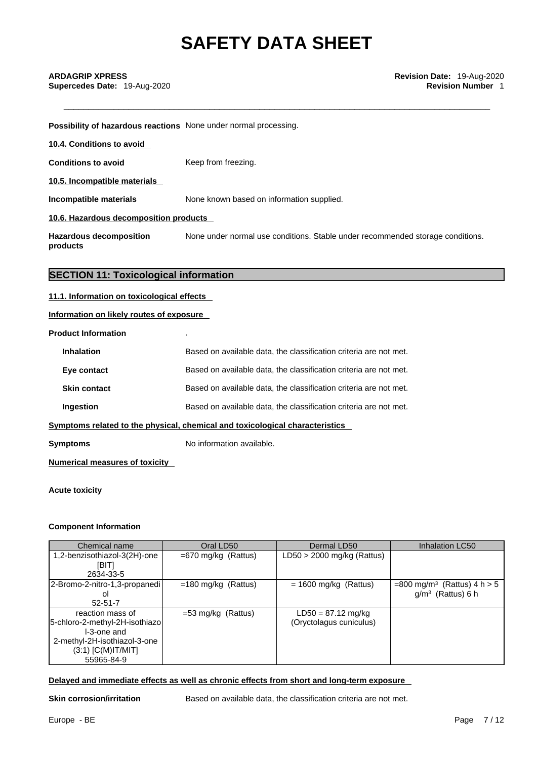**Possibility of hazardous reactions** None under normal processing.

| 10.4. Conditions to avoid              |                                           |  |
|----------------------------------------|-------------------------------------------|--|
| <b>Conditions to avoid</b>             | Keep from freezing.                       |  |
| 10.5. Incompatible materials           |                                           |  |
| Incompatible materials                 | None known based on information supplied. |  |
| 10.6. Hazardous decomposition products |                                           |  |

**Hazardous decomposition products**  None under normal use conditions. Stable under recommended storage conditions.

# **SECTION 11: Toxicological information**

### **11.1. Information on toxicological effects**

**Information on likely routes of exposure**

**Product Information** .

| Based on available data, the classification criteria are not met.            |  |  |
|------------------------------------------------------------------------------|--|--|
| Based on available data, the classification criteria are not met.            |  |  |
| Based on available data, the classification criteria are not met.            |  |  |
| Based on available data, the classification criteria are not met.            |  |  |
| Symptoms related to the physical, chemical and toxicological characteristics |  |  |
|                                                                              |  |  |

**Symptoms** No information available.

**Numerical measures of toxicity**

**Acute toxicity** 

# **Component Information**

| Chemical name                                                                                                                           | Oral LD50             | Dermal LD50                                     | Inhalation LC50                                                  |
|-----------------------------------------------------------------------------------------------------------------------------------------|-----------------------|-------------------------------------------------|------------------------------------------------------------------|
| 1,2-benzisothiazol-3(2H)-one<br>[BIT]<br>2634-33-5                                                                                      | $=670$ mg/kg (Rattus) | LD50 > 2000 mg/kg (Rattus)                      |                                                                  |
| 2-Bromo-2-nitro-1,3-propanedi<br>οI<br>$52 - 51 - 7$                                                                                    | $=180$ mg/kg (Rattus) | $= 1600$ mg/kg (Rattus)                         | =800 mg/m <sup>3</sup> (Rattus) 4 h $> 5$<br>$g/m3$ (Rattus) 6 h |
| reaction mass of<br>5-chloro-2-methyl-2H-isothiazo<br>I-3-one and<br>2-methyl-2H-isothiazol-3-one<br>$(3:1)$ [C(M)IT/MIT]<br>55965-84-9 | $=$ 53 mg/kg (Rattus) | $LD50 = 87.12$ mg/kg<br>(Oryctolagus cuniculus) |                                                                  |

## **Delayed and immediate effects as well as chronic effects from short and long-term exposure**

**Skin corrosion/irritation** Based on available data, the classification criteria are not met.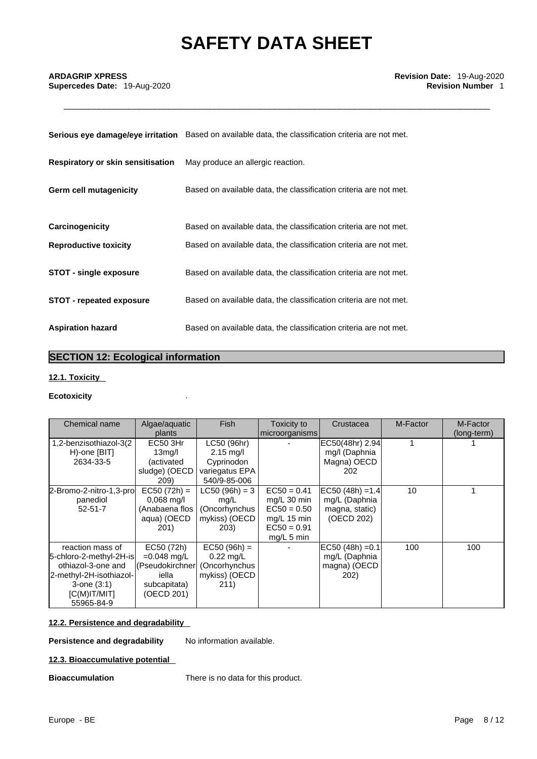**Supercedes Date: 19-Aug-2020** 

|                                          | Serious eye damage/eye irritation Based on available data, the classification criteria are not met. |
|------------------------------------------|-----------------------------------------------------------------------------------------------------|
| <b>Respiratory or skin sensitisation</b> | May produce an allergic reaction.                                                                   |
| Germ cell mutagenicity                   | Based on available data, the classification criteria are not met.                                   |
| Carcinogenicity                          | Based on available data, the classification criteria are not met.                                   |
| <b>Reproductive toxicity</b>             | Based on available data, the classification criteria are not met.                                   |
| <b>STOT - single exposure</b>            | Based on available data, the classification criteria are not met.                                   |
| <b>STOT - repeated exposure</b>          | Based on available data, the classification criteria are not met.                                   |
| <b>Aspiration hazard</b>                 | Based on available data, the classification criteria are not met.                                   |

# **SECTION 12: Ecological information**

# **12.1. Toxicity**

# **Ecotoxicity** .

| Chemical name                                                                                                                                     | Algae/aquatic<br>plants                                                               | <b>Fish</b>                                                                        | Toxicity to<br>microorganisms                                                                   | Crustacea                                                           | M-Factor | M-Factor<br>(long-term) |
|---------------------------------------------------------------------------------------------------------------------------------------------------|---------------------------------------------------------------------------------------|------------------------------------------------------------------------------------|-------------------------------------------------------------------------------------------------|---------------------------------------------------------------------|----------|-------------------------|
| 1,2-benzisothiazol-3(2<br>H)-one [BIT]<br>2634-33-5                                                                                               | EC50 3Hr<br>13 <sub>mq</sub> /l<br>(activated<br>sludge) (OECD<br>209)                | LC50 (96hr)<br>$2.15 \text{ mg/l}$<br>Cyprinodon<br>variegatus EPA<br>540/9-85-006 |                                                                                                 | EC50(48hr) 2.94<br>mg/I (Daphnia<br>Magna) OECD<br>202              |          |                         |
| 2-Bromo-2-nitro-1,3-pro<br>panediol<br>$52 - 51 - 7$                                                                                              | $EC50 (72h) =$<br>$0,068$ mg/l<br>(Anabaena flos<br>aqua) (OECD<br>201)               | $LC50 (96h) = 3$<br>mg/L<br>(Oncorhynchus<br>mykiss) (OECD<br>203)                 | $EC50 = 0.41$<br>mg/L $30$ min<br>$EC50 = 0.50$<br>$mq/L$ 15 min<br>$EC50 = 0.91$<br>mg/L 5 min | $EC50 (48h) = 1.4$<br>mg/L (Daphnia<br>magna, static)<br>(OECD 202) | 10       |                         |
| reaction mass of<br>5-chloro-2-methyl-2H-is<br>othiazol-3-one and<br>2-methyl-2H-isothiazol-<br>$3$ -one $(3:1)$<br>$[C(M)$ IT/MIT]<br>55965-84-9 | EC50 (72h)<br>$=0.048$ mg/L<br>(Pseudokirchner<br>iella<br>subcapitata)<br>(OECD 201) | $EC50 (96h) =$<br>$0.22 \text{ mq/L}$<br>(Oncorhynchus<br>mykiss) (OECD<br>211)    |                                                                                                 | $EC50 (48h) = 0.1$<br>mg/L (Daphnia<br>magna) (OECD<br>202)         | 100      | 100                     |

# **12.2. Persistence and degradability**

**Persistence and degradability** No information available.

# **12.3. Bioaccumulative potential**

**Bioaccumulation** There is no data for this product.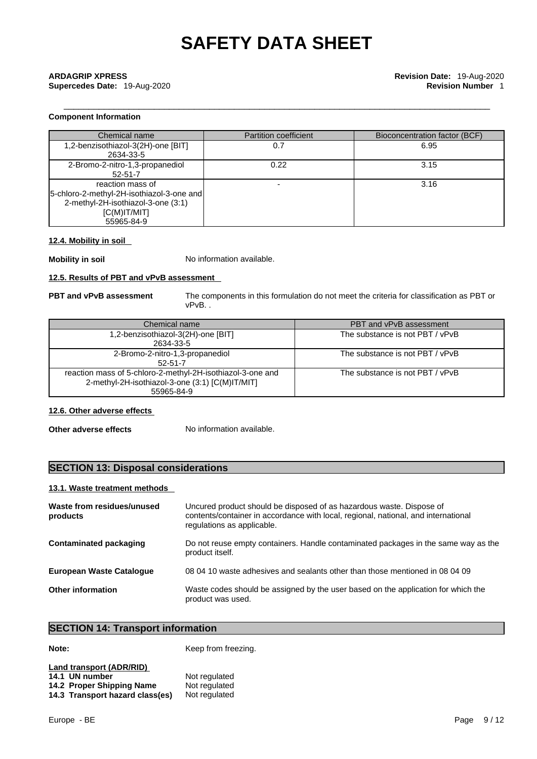# **Component Information**

| Chemical name                                                                                                                      | <b>Partition coefficient</b> | Bioconcentration factor (BCF) |
|------------------------------------------------------------------------------------------------------------------------------------|------------------------------|-------------------------------|
| 1,2-benzisothiazol-3(2H)-one [BIT]<br>2634-33-5                                                                                    | 0.7                          | 6.95                          |
| 2-Bromo-2-nitro-1,3-propanediol<br>$52 - 51 - 7$                                                                                   | 0.22                         | 3.15                          |
| reaction mass of<br>[5-chloro-2-methyl-2H-isothiazol-3-one and]<br>2-methyl-2H-isothiazol-3-one (3:1)<br>IC(M)IT/MIT<br>55965-84-9 |                              | 3.16                          |

# **12.4. Mobility in soil**

**Mobility in soil** No information available.

# **12.5. Results of PBT and vPvB assessment**

**PBT and vPvB assessment** The components in this formulation do not meet the criteria for classification as PBT or vPvB. .

| Chemical name                                                                                                               | PBT and vPvB assessment         |
|-----------------------------------------------------------------------------------------------------------------------------|---------------------------------|
| 1,2-benzisothiazol-3(2H)-one [BIT]<br>2634-33-5                                                                             | The substance is not PBT / vPvB |
| 2-Bromo-2-nitro-1,3-propanediol<br>$52 - 51 - 7$                                                                            | The substance is not PBT / vPvB |
| reaction mass of 5-chloro-2-methyl-2H-isothiazol-3-one and<br>2-methyl-2H-isothiazol-3-one (3:1) [C(M)IT/MIT]<br>55965-84-9 | The substance is not PBT / vPvB |

# **12.6. Other adverse effects**

**Other adverse effects** No information available.

# **SECTION 13: Disposal considerations**

# **13.1. Waste treatment methods**

| Waste from residues/unused<br>products | Uncured product should be disposed of as hazardous waste. Dispose of<br>contents/container in accordance with local, regional, national, and international<br>regulations as applicable. |
|----------------------------------------|------------------------------------------------------------------------------------------------------------------------------------------------------------------------------------------|
| <b>Contaminated packaging</b>          | Do not reuse empty containers. Handle contaminated packages in the same way as the<br>product itself.                                                                                    |
| <b>European Waste Catalogue</b>        | 08 04 10 waste adhesives and sealants other than those mentioned in 08 04 09                                                                                                             |
| <b>Other information</b>               | Waste codes should be assigned by the user based on the application for which the<br>product was used.                                                                                   |

# **SECTION 14: Transport information**

**Note:** Keep from freezing.

| Land transport (ADR/RID)        |               |
|---------------------------------|---------------|
| 14.1 UN number                  | Not regulated |
| 14.2 Proper Shipping Name       | Not regulated |
| 14.3 Transport hazard class(es) | Not regulated |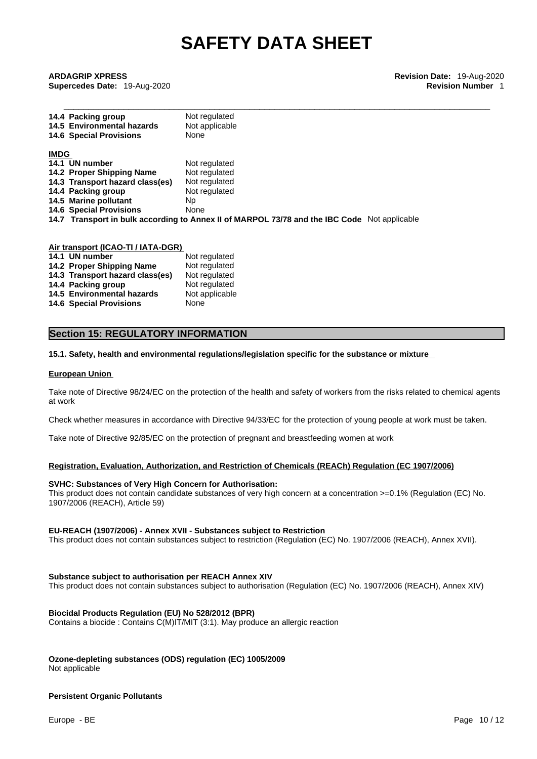\_\_\_\_\_\_\_\_\_\_\_\_\_\_\_\_\_\_\_\_\_\_\_\_\_\_\_\_\_\_\_\_\_\_\_\_\_\_\_\_\_\_\_\_\_\_\_\_\_\_\_\_\_\_\_\_\_\_\_\_\_\_\_\_\_\_\_\_\_\_\_\_\_\_\_\_\_\_\_\_\_\_\_\_\_ **ARDAGRIP XPRESS Revision Date:** 19-Aug-2020 **Supercedes Date:** 19-Aug-2020 **Revision Number** 1

|             | 14.4 Packing group<br>14.5 Environmental hazards | Not regulated<br>Not applicable                                                              |
|-------------|--------------------------------------------------|----------------------------------------------------------------------------------------------|
|             | <b>14.6 Special Provisions</b>                   | None                                                                                         |
| <b>IMDG</b> |                                                  |                                                                                              |
|             | 14.1 UN number                                   | Not regulated                                                                                |
|             | 14.2 Proper Shipping Name                        | Not regulated                                                                                |
|             | 14.3 Transport hazard class(es)                  | Not regulated                                                                                |
|             | 14.4 Packing group                               | Not regulated                                                                                |
|             | 14.5 Marine pollutant                            | Np.                                                                                          |
|             | <b>14.6 Special Provisions</b>                   | None                                                                                         |
|             |                                                  | 14.7 Transport in bulk according to Annex II of MARPOL 73/78 and the IBC Code Not applicable |
|             |                                                  |                                                                                              |

| Air transport (ICAO-TI / IATA-DGR) |                                 |                |  |  |
|------------------------------------|---------------------------------|----------------|--|--|
|                                    | 14.1 UN number                  | Not regulated  |  |  |
|                                    | 14.2 Proper Shipping Name       | Not regulated  |  |  |
|                                    | 14.3 Transport hazard class(es) | Not regulated  |  |  |
|                                    | 14.4 Packing group              | Not regulated  |  |  |
|                                    | 14.5 Environmental hazards      | Not applicable |  |  |
|                                    | <b>14.6 Special Provisions</b>  | None           |  |  |

# **Section 15: REGULATORY INFORMATION**

#### **15.1. Safety, health and environmental regulations/legislation specific for the substance or mixture**

#### **European Union**

Take note of Directive 98/24/EC on the protection of the health and safety of workers from the risks related to chemical agents at work

Check whether measures in accordance with Directive 94/33/EC for the protection of young people at work must be taken.

Take note of Directive 92/85/EC on the protection of pregnant and breastfeeding women at work

#### **Registration, Evaluation, Authorization, and Restriction of Chemicals (REACh) Regulation (EC 1907/2006)**

#### **SVHC: Substances of Very High Concern for Authorisation:**

This product does not contain candidate substances of very high concern at a concentration >=0.1% (Regulation (EC) No. 1907/2006 (REACH), Article 59)

### **EU-REACH (1907/2006) - Annex XVII - Substances subject to Restriction**

This product does not contain substances subject to restriction (Regulation (EC) No. 1907/2006 (REACH), Annex XVII).

### **Substance subject to authorisation per REACH Annex XIV**

This product does not contain substances subject to authorisation (Regulation (EC) No. 1907/2006 (REACH), Annex XIV)

### **Biocidal Products Regulation (EU) No 528/2012 (BPR)**

Contains a biocide : Contains C(M)IT/MIT (3:1). May produce an allergic reaction

#### **Ozone-depleting substances (ODS) regulation (EC) 1005/2009**

Not applicable

# **Persistent Organic Pollutants**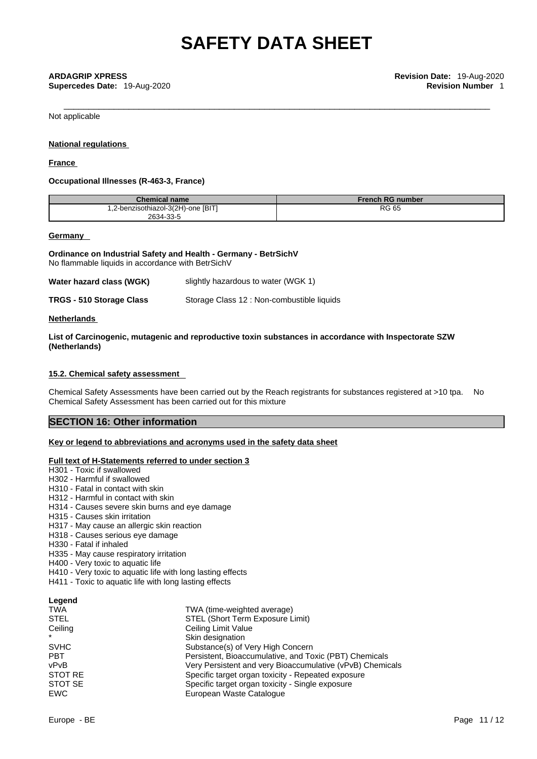Not applicable

## **National regulations**

## **France**

## **Occupational Illnesses (R-463-3, France)**

| <b>Chemical name</b>               | <b>French RG number</b> |
|------------------------------------|-------------------------|
| 1,2-benzisothiazol-3(2H)-one [BIT] | <b>RG 65</b>            |
| 2634-33-5                          |                         |

### **Germany**

**Ordinance on Industrial Safety and Health - Germany - BetrSichV** No flammable liquids in accordance with BetrSichV

| Water hazard class (WGK) | slightly hazardous to water (WGK 1) |  |
|--------------------------|-------------------------------------|--|
|--------------------------|-------------------------------------|--|

| TRGS - 510 Storage Class | Storage Class 12 : Non-combustible liquids |  |
|--------------------------|--------------------------------------------|--|
|--------------------------|--------------------------------------------|--|

### **Netherlands**

**List of Carcinogenic, mutagenic and reproductive toxin substances in accordance with Inspectorate SZW (Netherlands)**

## **15.2. Chemical safety assessment**

Chemical Safety Assessments have been carried out by the Reach registrants for substances registered at >10 tpa. No Chemical Safety Assessment has been carried out for this mixture

# **SECTION 16: Other information**

# **Key or legend to abbreviations and acronyms used in the safety data sheet**

# **Full text of H-Statements referred to under section 3**

- H301 Toxic if swallowed
- H302 Harmful if swallowed
- H310 Fatal in contact with skin
- H312 Harmful in contact with skin
- H314 Causes severe skin burns and eye damage
- H315 Causes skin irritation
- H317 May cause an allergic skin reaction
- H318 Causes serious eye damage
- H330 Fatal if inhaled
- H335 May cause respiratory irritation
- H400 Very toxic to aquatic life
- H410 Very toxic to aquatic life with long lasting effects
- H411 Toxic to aquatic life with long lasting effects

### **Legend**

| TWA (time-weighted average)                               |
|-----------------------------------------------------------|
| STEL (Short Term Exposure Limit)                          |
| Ceiling Limit Value                                       |
| Skin designation                                          |
| Substance(s) of Very High Concern                         |
| Persistent, Bioaccumulative, and Toxic (PBT) Chemicals    |
| Very Persistent and very Bioaccumulative (vPvB) Chemicals |
| Specific target organ toxicity - Repeated exposure        |
| Specific target organ toxicity - Single exposure          |
| European Waste Catalogue                                  |
|                                                           |